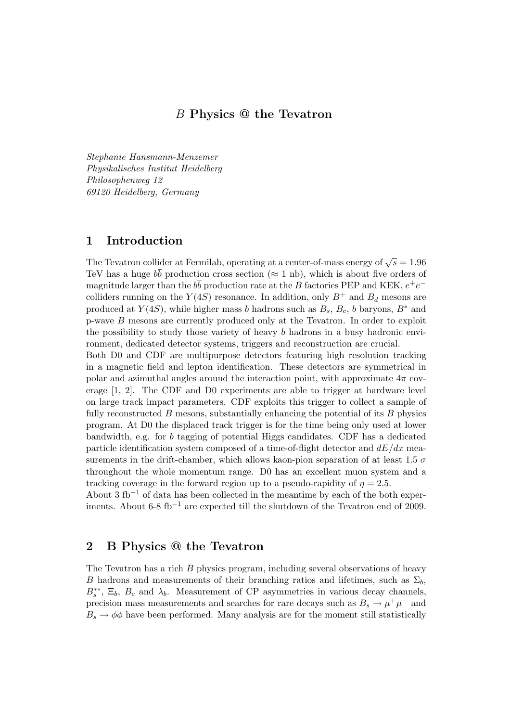# B Physics @ the Tevatron

Stephanie Hansmann-Menzemer Physikalisches Institut Heidelberg Philosophenweg 12 69120 Heidelberg, Germany

## 1 Introduction

The Tevatron collider at Fermilab, operating at a center-of-mass energy of  $\sqrt{s} = 1.96$ TeV has a huge  $b\bar{b}$  production cross section ( $\approx 1$  nb), which is about five orders of magnitude larger than the  $b\bar{b}$  production rate at the B factories PEP and KEK,  $e^+e^$ colliders running on the  $Y(4S)$  resonance. In addition, only  $B^+$  and  $B_d$  mesons are produced at  $Y(4S)$ , while higher mass b hadrons such as  $B_s$ ,  $B_c$ , b baryons,  $B^*$  and p-wave B mesons are currently produced only at the Tevatron. In order to exploit the possibility to study those variety of heavy b hadrons in a busy hadronic environment, dedicated detector systems, triggers and reconstruction are crucial.

Both D0 and CDF are multipurpose detectors featuring high resolution tracking in a magnetic field and lepton identification. These detectors are symmetrical in polar and azimuthal angles around the interaction point, with approximate  $4\pi$  coverage [1, 2]. The CDF and D0 experiments are able to trigger at hardware level on large track impact parameters. CDF exploits this trigger to collect a sample of fully reconstructed  $B$  mesons, substantially enhancing the potential of its  $B$  physics program. At D0 the displaced track trigger is for the time being only used at lower bandwidth, e.g. for b tagging of potential Higgs candidates. CDF has a dedicated particle identification system composed of a time-of-flight detector and  $dE/dx$  measurements in the drift-chamber, which allows kaon-pion separation of at least 1.5  $\sigma$ throughout the whole momentum range. D0 has an excellent muon system and a tracking coverage in the forward region up to a pseudo-rapidity of  $\eta = 2.5$ .

About 3 fb<sup>-1</sup> of data has been collected in the meantime by each of the both experiments. About 6-8 fb<sup>-1</sup> are expected till the shutdown of the Tevatron end of 2009.

## 2 B Physics @ the Tevatron

The Tevatron has a rich B physics program, including several observations of heavy B hadrons and measurements of their branching ratios and lifetimes, such as  $\Sigma_b$ ,  $B_s^{**}$ ,  $\Xi_b$ ,  $B_c$  and  $\lambda_b$ . Measurement of CP asymmetries in various decay channels, precision mass measurements and searches for rare decays such as  $B_s \to \mu^+ \mu^-$  and  $B_s \to \phi \phi$  have been performed. Many analysis are for the moment still statistically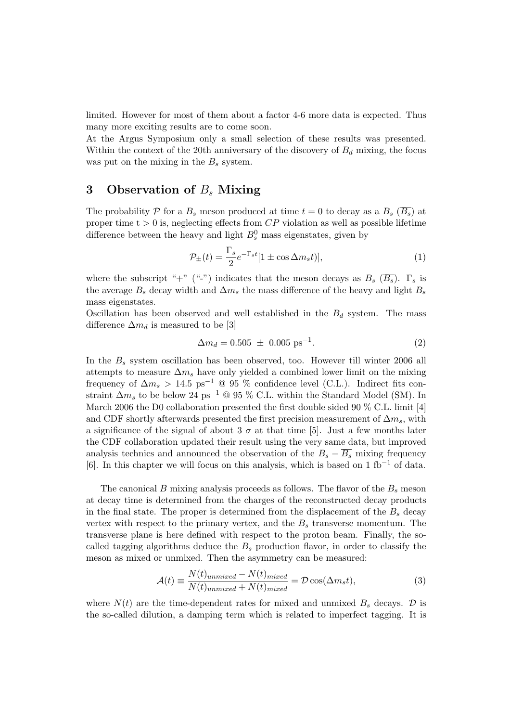limited. However for most of them about a factor 4-6 more data is expected. Thus many more exciting results are to come soon.

At the Argus Symposium only a small selection of these results was presented. Within the context of the 20th anniversary of the discovery of  $B_d$  mixing, the focus was put on the mixing in the  $B_s$  system.

# 3 Observation of  $B_s$  Mixing

The probability P for a  $B_s$  meson produced at time  $t = 0$  to decay as a  $B_s$   $(\overline{B_s})$  at proper time  $t > 0$  is, neglecting effects from  $CP$  violation as well as possible lifetime difference between the heavy and light  $B^0_s$  mass eigenstates, given by

$$
\mathcal{P}_{\pm}(t) = \frac{\Gamma_s}{2} e^{-\Gamma_s t} [1 \pm \cos \Delta m_s t)],\tag{1}
$$

where the subscript "+" ("-") indicates that the meson decays as  $B_s$  ( $\overline{B_s}$ ).  $\Gamma_s$  is the average  $B_s$  decay width and  $\Delta m_s$  the mass difference of the heavy and light  $B_s$ mass eigenstates.

Oscillation has been observed and well established in the  $B_d$  system. The mass difference  $\Delta m_d$  is measured to be [3]

$$
\Delta m_d = 0.505 \pm 0.005 \text{ ps}^{-1}.
$$
 (2)

In the  $B_s$  system oscillation has been observed, too. However till winter 2006 all attempts to measure  $\Delta m_s$  have only yielded a combined lower limit on the mixing frequency of  $\Delta m_s > 14.5 \text{ ps}^{-1}$  @ 95 % confidence level (C.L.). Indirect fits constraint  $\Delta m_s$  to be below 24 ps<sup>-1</sup> @ 95 % C.L. within the Standard Model (SM). In March 2006 the D0 collaboration presented the first double sided 90 % C.L. limit [4] and CDF shortly afterwards presented the first precision measurement of  $\Delta m_s$ , with a significance of the signal of about 3  $\sigma$  at that time [5]. Just a few months later the CDF collaboration updated their result using the very same data, but improved analysis technics and announced the observation of the  $B_s - \overline{B_s}$  mixing frequency [6]. In this chapter we will focus on this analysis, which is based on 1 fb<sup>-1</sup> of data.

The canonical B mixing analysis proceeds as follows. The flavor of the  $B_s$  meson at decay time is determined from the charges of the reconstructed decay products in the final state. The proper is determined from the displacement of the  $B_s$  decay vertex with respect to the primary vertex, and the  $B_s$  transverse momentum. The transverse plane is here defined with respect to the proton beam. Finally, the socalled tagging algorithms deduce the  $B<sub>s</sub>$  production flavor, in order to classify the meson as mixed or unmixed. Then the asymmetry can be measured:

$$
\mathcal{A}(t) \equiv \frac{N(t)_{unmixed} - N(t)_{mixed}}{N(t)_{unmixed} + N(t)_{mixed}} = \mathcal{D}\cos(\Delta m_s t),\tag{3}
$$

where  $N(t)$  are the time-dependent rates for mixed and unmixed  $B_s$  decays.  $\mathcal D$  is the so-called dilution, a damping term which is related to imperfect tagging. It is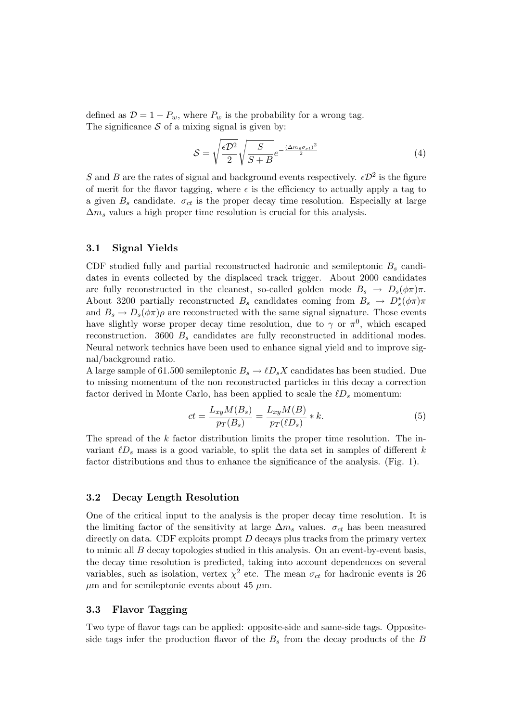defined as  $\mathcal{D} = 1 - P_w$ , where  $P_w$  is the probability for a wrong tag. The significance  $S$  of a mixing signal is given by:

$$
S = \sqrt{\frac{\epsilon D^2}{2}} \sqrt{\frac{S}{S+B}} e^{-\frac{(\Delta m_s \sigma_{ct})^2}{2}}
$$
(4)

S and B are the rates of signal and background events respectively.  $\epsilon \mathcal{D}^2$  is the figure of merit for the flavor tagging, where  $\epsilon$  is the efficiency to actually apply a tag to a given  $B_s$  candidate.  $\sigma_{ct}$  is the proper decay time resolution. Especially at large  $\Delta m_s$  values a high proper time resolution is crucial for this analysis.

### 3.1 Signal Yields

CDF studied fully and partial reconstructed hadronic and semileptonic  $B_s$  candidates in events collected by the displaced track trigger. About 2000 candidates are fully reconstructed in the cleanest, so-called golden mode  $B_s \to D_s(\phi \pi) \pi$ . About 3200 partially reconstructed  $B_s$  candidates coming from  $B_s \to D_s^*(\phi \pi) \pi$ and  $B_s \to D_s(\phi \pi) \rho$  are reconstructed with the same signal signature. Those events have slightly worse proper decay time resolution, due to  $\gamma$  or  $\pi^0$ , which escaped reconstruction. 3600  $B_s$  candidates are fully reconstructed in additional modes. Neural network technics have been used to enhance signal yield and to improve signal/background ratio.

A large sample of 61.500 semileptonic  $B_s \to \ell D_s X$  candidates has been studied. Due to missing momentum of the non reconstructed particles in this decay a correction factor derived in Monte Carlo, has been applied to scale the  $\ell D_s$  momentum:

$$
ct = \frac{L_{xy}M(B_s)}{p_T(B_s)} = \frac{L_{xy}M(B)}{p_T(\ell D_s)} * k.
$$
\n<sup>(5)</sup>

The spread of the  $k$  factor distribution limits the proper time resolution. The invariant  $\ell D_s$  mass is a good variable, to split the data set in samples of different k factor distributions and thus to enhance the significance of the analysis. (Fig. 1).

#### 3.2 Decay Length Resolution

One of the critical input to the analysis is the proper decay time resolution. It is the limiting factor of the sensitivity at large  $\Delta m_s$  values.  $\sigma_{ct}$  has been measured directly on data. CDF exploits prompt  $D$  decays plus tracks from the primary vertex to mimic all B decay topologies studied in this analysis. On an event-by-event basis, the decay time resolution is predicted, taking into account dependences on several variables, such as isolation, vertex  $\chi^2$  etc. The mean  $\sigma_{ct}$  for hadronic events is 26  $\mu$ m and for semileptonic events about 45  $\mu$ m.

### 3.3 Flavor Tagging

Two type of flavor tags can be applied: opposite-side and same-side tags. Oppositeside tags infer the production flavor of the  $B_s$  from the decay products of the  $B$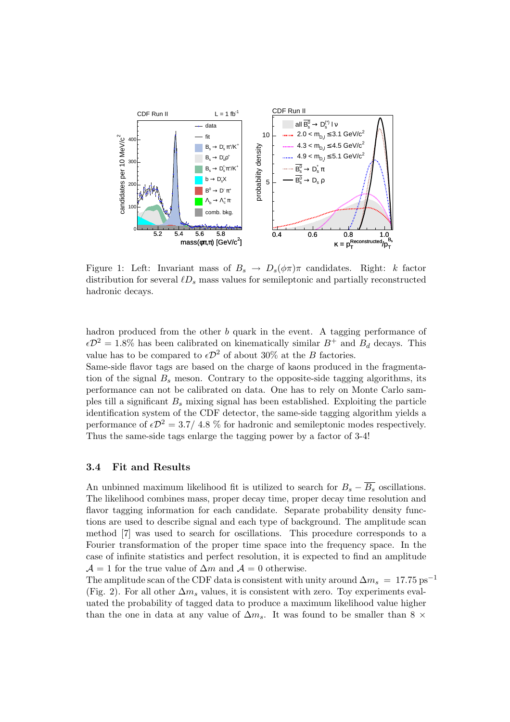

Figure 1: Left: Invariant mass of  $B_s \to D_s(\phi \pi) \pi$  candidates. Right: k factor distribution for several  $\ell D_s$  mass values for semileptonic and partially reconstructed hadronic decays.

hadron produced from the other b quark in the event. A tagging performance of  $\epsilon \mathcal{D}^2 = 1.8\%$  has been calibrated on kinematically similar  $B^+$  and  $B_d$  decays. This value has to be compared to  $\epsilon \mathcal{D}^2$  of about 30% at the B factories.

Same-side flavor tags are based on the charge of kaons produced in the fragmentation of the signal  $B_s$  meson. Contrary to the opposite-side tagging algorithms, its performance can not be calibrated on data. One has to rely on Monte Carlo samples till a significant  $B_s$  mixing signal has been established. Exploiting the particle identification system of the CDF detector, the same-side tagging algorithm yields a performance of  $\epsilon \mathcal{D}^2 = 3.7/4.8 \%$  for hadronic and semileptonic modes respectively. Thus the same-side tags enlarge the tagging power by a factor of 3-4!

#### 3.4 Fit and Results

An unbinned maximum likelihood fit is utilized to search for  $B_s - \overline{B_s}$  oscillations. The likelihood combines mass, proper decay time, proper decay time resolution and flavor tagging information for each candidate. Separate probability density functions are used to describe signal and each type of background. The amplitude scan method [7] was used to search for oscillations. This procedure corresponds to a Fourier transformation of the proper time space into the frequency space. In the case of infinite statistics and perfect resolution, it is expected to find an amplitude  $\mathcal{A} = 1$  for the true value of  $\Delta m$  and  $\mathcal{A} = 0$  otherwise.

The amplitude scan of the CDF data is consistent with unity around  $\Delta m_s = 17.75 \text{ ps}^{-1}$ (Fig. 2). For all other  $\Delta m_s$  values, it is consistent with zero. Toy experiments evaluated the probability of tagged data to produce a maximum likelihood value higher than the one in data at any value of  $\Delta m_s$ . It was found to be smaller than 8  $\times$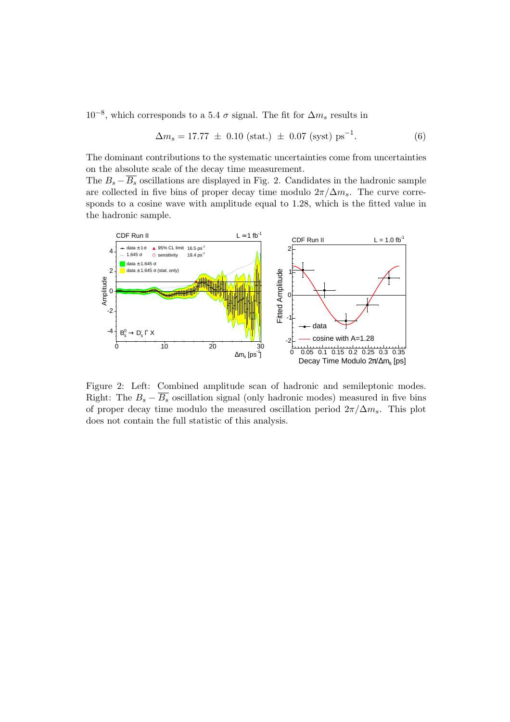$10^{-8}$ , which corresponds to a 5.4  $\sigma$  signal. The fit for  $\Delta m_s$  results in

$$
\Delta m_s = 17.77 \pm 0.10 \text{ (stat.)} \pm 0.07 \text{ (syst) ps}^{-1}. \tag{6}
$$

The dominant contributions to the systematic uncertainties come from uncertainties on the absolute scale of the decay time measurement.

The  $B_s - \overline{B_s}$  oscillations are displayed in Fig. 2. Candidates in the hadronic sample are collected in five bins of proper decay time modulo  $2\pi/\Delta m_s$ . The curve corresponds to a cosine wave with amplitude equal to 1.28, which is the fitted value in the hadronic sample.



Figure 2: Left: Combined amplitude scan of hadronic and semileptonic modes. Right: The  $B_s - \overline{B_s}$  oscillation signal (only hadronic modes) measured in five bins of proper decay time modulo the measured oscillation period  $2\pi/\Delta m_s$ . This plot does not contain the full statistic of this analysis.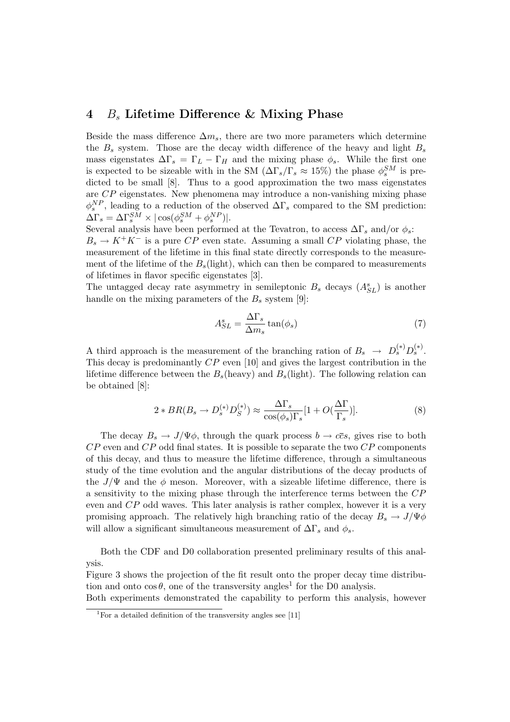## 4  $B_s$  Lifetime Difference & Mixing Phase

Beside the mass difference  $\Delta m_s$ , there are two more parameters which determine the  $B_s$  system. Those are the decay width difference of the heavy and light  $B_s$ mass eigenstates  $\Delta\Gamma_s = \Gamma_L - \Gamma_H$  and the mixing phase  $\phi_s$ . While the first one is expected to be sizeable with in the SM  $(\Delta\Gamma_s/\Gamma_s \approx 15\%)$  the phase  $\phi_s^{SM}$  is predicted to be small [8]. Thus to a good approximation the two mass eigenstates are CP eigenstates. New phenomena may introduce a non-vanishing mixing phase  $\phi_s^{NP}$ , leading to a reduction of the observed  $\Delta\Gamma_s$  compared to the SM prediction:  $\Delta\Gamma_s = \Delta\Gamma_s^{SM} \times |\cos(\phi_s^{SM} + \phi_s^{NP})|.$ 

Several analysis have been performed at the Tevatron, to access  $\Delta\Gamma_s$  and/or  $\phi_s$ :  $B_s \to K^+K^-$  is a pure CP even state. Assuming a small CP violating phase, the measurement of the lifetime in this final state directly corresponds to the measurement of the lifetime of the  $B<sub>s</sub>$ (light), which can then be compared to measurements of lifetimes in flavor specific eigenstates [3].

The untagged decay rate asymmetry in semileptonic  $B_s$  decays  $(A_{SL}^s)$  is another handle on the mixing parameters of the  $B_s$  system [9]:

$$
A_{SL}^s = \frac{\Delta \Gamma_s}{\Delta m_s} \tan(\phi_s) \tag{7}
$$

A third approach is the measurement of the branching ration of  $B_s \rightarrow D_s^{(*)} D_s^{(*)}$ . This decay is predominantly CP even [10] and gives the largest contribution in the lifetime difference between the  $B_s$ (heavy) and  $B_s$ (light). The following relation can be obtained [8]:

$$
2 * BR(B_s \to D_s^{(*)} D_S^{(*)}) \approx \frac{\Delta \Gamma_s}{\cos(\phi_s) \Gamma_s} [1 + O(\frac{\Delta \Gamma}{\Gamma_s})]. \tag{8}
$$

The decay  $B_s \to J/\Psi \phi$ , through the quark process  $b \to c\bar{c}s$ , gives rise to both  $CP$  even and  $CP$  odd final states. It is possible to separate the two  $CP$  components of this decay, and thus to measure the lifetime difference, through a simultaneous study of the time evolution and the angular distributions of the decay products of the  $J/\Psi$  and the  $\phi$  meson. Moreover, with a sizeable lifetime difference, there is a sensitivity to the mixing phase through the interference terms between the CP even and CP odd waves. This later analysis is rather complex, however it is a very promising approach. The relatively high branching ratio of the decay  $B_s \to J/\Psi \phi$ will allow a significant simultaneous measurement of  $\Delta\Gamma_s$  and  $\phi_s$ .

Both the CDF and D0 collaboration presented preliminary results of this analysis.

Figure 3 shows the projection of the fit result onto the proper decay time distribution and onto  $\cos \theta$ , one of the transversity angles<sup>1</sup> for the D0 analysis.

Both experiments demonstrated the capability to perform this analysis, however

<sup>&</sup>lt;sup>1</sup>For a detailed definition of the transversity angles see [11]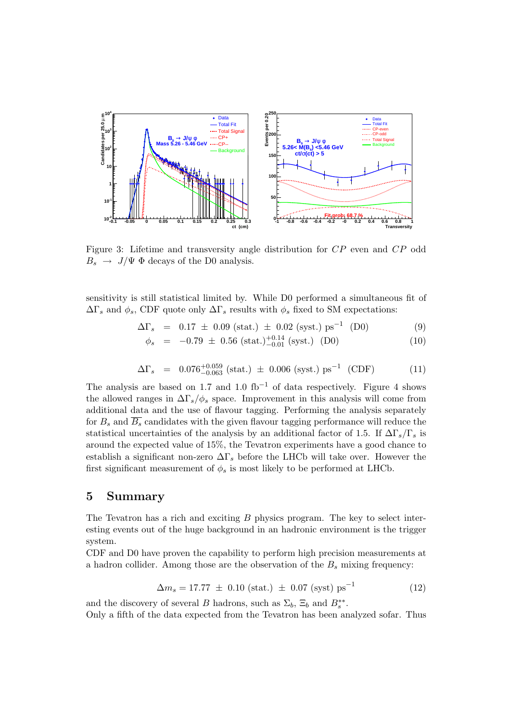

Figure 3: Lifetime and transversity angle distribution for CP even and CP odd  $B_s \rightarrow J/\Psi \Phi$  decays of the D0 analysis.

sensitivity is still statistical limited by. While D0 performed a simultaneous fit of  $\Delta\Gamma_s$  and  $\phi_s$ , CDF quote only  $\Delta\Gamma_s$  results with  $\phi_s$  fixed to SM expectations:

$$
\Delta\Gamma_s = 0.17 \pm 0.09 \text{ (stat.)} \pm 0.02 \text{ (syst.)} \text{ ps}^{-1} \text{ (D0)} \tag{9}
$$

$$
\phi_s = -0.79 \pm 0.56 \text{ (stat.)}^{+0.14}_{-0.01} \text{ (syst.)} \text{ (D0)} \tag{10}
$$

$$
\Delta\Gamma_s = 0.076^{+0.059}_{-0.063} \text{ (stat.)} \pm 0.006 \text{ (syst.)} \text{ ps}^{-1} \text{ (CDF)} \tag{11}
$$

The analysis are based on 1.7 and 1.0 fb<sup>-1</sup> of data respectively. Figure 4 shows the allowed ranges in  $\Delta\Gamma_s/\phi_s$  space. Improvement in this analysis will come from additional data and the use of flavour tagging. Performing the analysis separately for  $B_s$  and  $\overline{B_s}$  candidates with the given flavour tagging performance will reduce the statistical uncertainties of the analysis by an additional factor of 1.5. If  $\Delta\Gamma_s/\Gamma_s$  is around the expected value of 15%, the Tevatron experiments have a good chance to establish a significant non-zero  $\Delta\Gamma_s$  before the LHCb will take over. However the first significant measurement of  $\phi_s$  is most likely to be performed at LHCb.

## 5 Summary

The Tevatron has a rich and exciting B physics program. The key to select interesting events out of the huge background in an hadronic environment is the trigger system.

CDF and D0 have proven the capability to perform high precision measurements at a hadron collider. Among those are the observation of the  $B_s$  mixing frequency:

$$
\Delta m_s = 17.77 \pm 0.10 \text{ (stat.)} \pm 0.07 \text{ (syst) ps}^{-1}
$$
 (12)

and the discovery of several B hadrons, such as  $\Sigma_b$ ,  $\Xi_b$  and  $B_s^{**}$ .

Only a fifth of the data expected from the Tevatron has been analyzed sofar. Thus